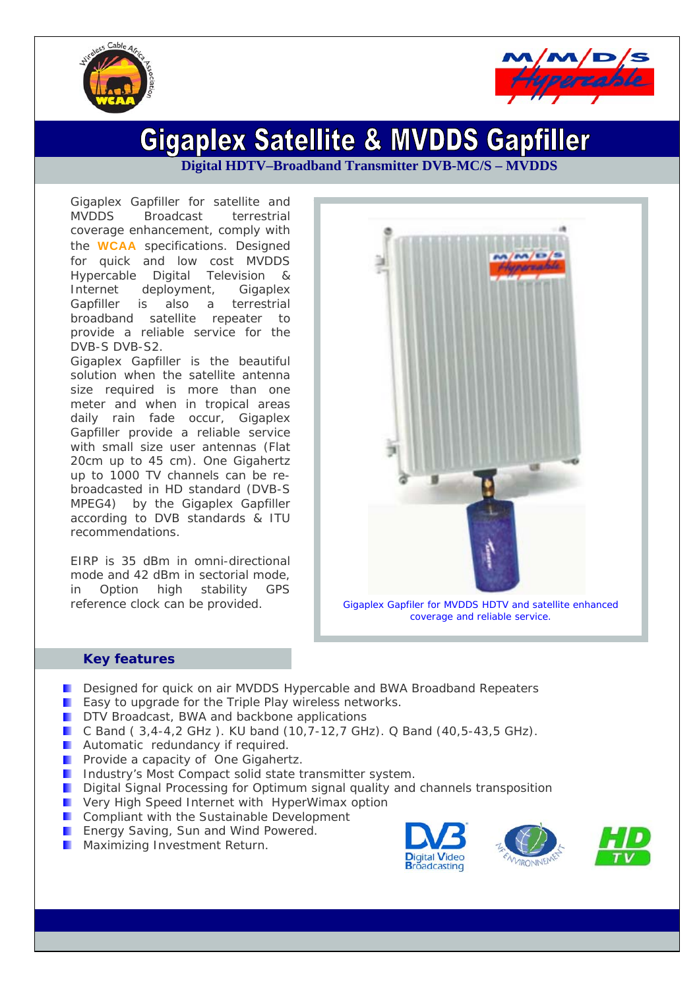



# **Gigaplex Satellite & MVDDS Gapfiller**

**Digital HDTV–Broadband Transmitter DVB-MC/S – MVDDS** 

Gigaplex Gapfiller for satellite and MVDDS Broadcast terrestrial coverage enhancement, comply with the **WCAA** specifications. Designed for quick and low cost MVDDS Hypercable Digital Television & Internet deployment, Gigaplex Gapfiller is also a terrestrial broadband satellite repeater to provide a reliable service for the DVB-S DVB-S2.

Gigaplex Gapfiller is the beautiful solution when the satellite antenna size required is more than one meter and when in tropical areas daily rain fade occur, Gigaplex Gapfiller provide a reliable service with small size user antennas (Flat 20cm up to 45 cm). One Gigahertz up to 1000 TV channels can be rebroadcasted in HD standard (DVB-S MPEG4) by the Gigaplex Gapfiller according to DVB standards & ITU recommendations.

EIRP is 35 dBm in omni-directional mode and 42 dBm in sectorial mode, in Option high stability GPS



reference clock can be provided. *Gigaplex Gapfiler for MVDDS HDTV and satellite enhanced coverage and reliable service.* 

#### **Key features**

- **Designed for quick on air MVDDS Hypercable and BWA Broadband Repeaters**
- **E** Easy to upgrade for the Triple Play wireless networks.
- **DRTV** Broadcast, BWA and backbone applications
- C Band ( 3,4-4,2 GHz ). KU band (10,7-12,7 GHz). Q Band (40,5-43,5 GHz).
- **Automatic redundancy if required.**
- **Provide a capacity of One Gigahertz.**
- **I** Industry's Most Compact solid state transmitter system.
- **Digital Signal Processing for Optimum signal quality and channels transposition**
- **E** Very High Speed Internet with HyperWimax option
- **Compliant with the Sustainable Development**
- **Energy Saving, Sun and Wind Powered.**
- **Maximizing Investment Return.**

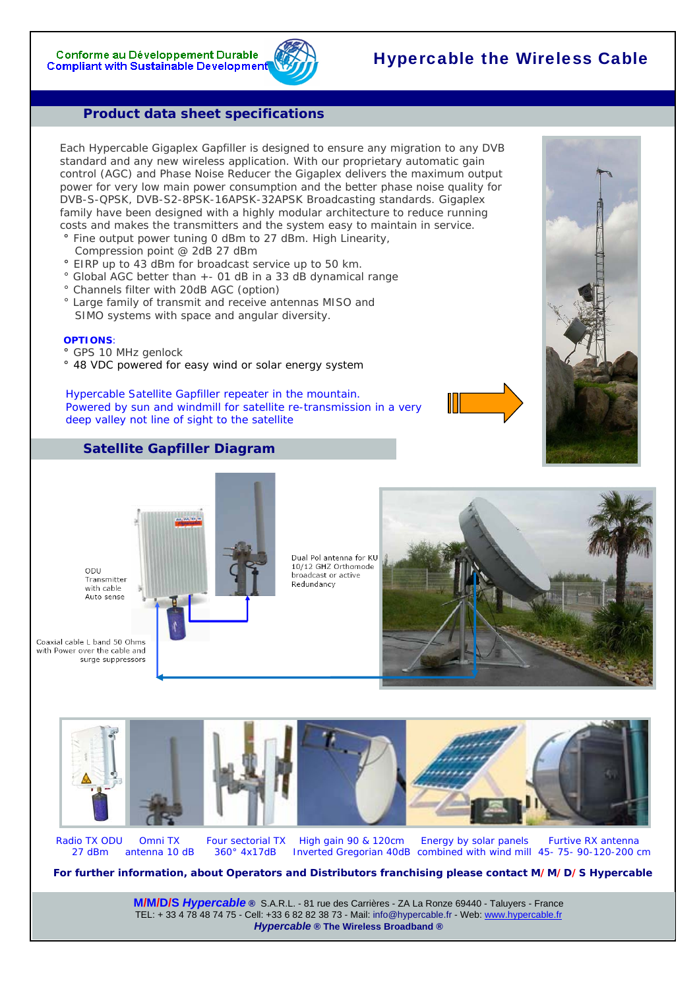## Hypercable the Wireless Cable

#### **Product data sheet specifications**

Each Hypercable Gigaplex Gapfiller is designed to ensure any migration to any DVB standard and any new wireless application. With our proprietary automatic gain control (AGC) and Phase Noise Reducer the Gigaplex delivers the maximum output power for very low main power consumption and the better phase noise quality for DVB-S-QPSK, DVB-S2-8PSK-16APSK-32APSK Broadcasting standards. Gigaplex family have been designed with a highly modular architecture to reduce running costs and makes the transmitters and the system easy to maintain in service.

- **°** Fine output power tuning 0 dBm to 27 dBm. High Linearity,
- Compression point @ 2dB 27 dBm
- **°** EIRP up to 43 dBm for broadcast service up to 50 km.
- ° Global AGC better than +- 01 dB in a 33 dB dynamical range
- ° Channels filter with 20dB AGC (option)
- ° Large family of transmit and receive antennas MISO and SIMO systems with space and angular diversity.

#### **OPTIONS**:

- **°** GPS 10 MHz genlock
- **°** 48 VDC powered for easy wind or solar energy system

#### *Hypercable Satellite Gapfiller repeater in the mountain. Powered by sun and windmill for satellite re-transmission in a very deep valley not line of sight to the satellite*



#### **Satellite Gapfiller Diagram**





Radio TX ODU Omni TX Four sectorial TX High gain 90 & 120cm Energy by solar panels Furtive RX antenna 27 dBm antenna 10 dB 360° 4x17dB Inverted Gregorian 40dB combined with wind mill 45- 75- 90-120-200 cm

**For further information, about Operators and Distributors franchising please contact M/M/D/S Hypercable**

**M/M/D/S** *Hypercable* **®** S.A.R.L. - 81 rue des Carrières - ZA La Ronze 69440 - Taluyers - France TEL: + 33 4 78 48 74 75 - Cell: +33 6 82 82 38 73 - Mail: info@hypercable.fr - Web: www.hypercable.fr *Hypercable* **® The Wireless Broadband ®**